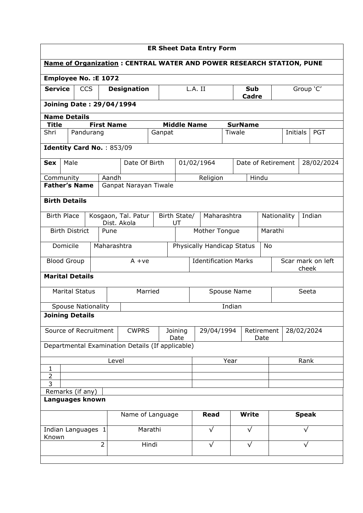| <b>ER Sheet Data Entry Form</b> |                                                  |            |                    |                                                                             |         |              |                             |  |                                  |                     |                    |            |                       |           |                   |
|---------------------------------|--------------------------------------------------|------------|--------------------|-----------------------------------------------------------------------------|---------|--------------|-----------------------------|--|----------------------------------|---------------------|--------------------|------------|-----------------------|-----------|-------------------|
|                                 |                                                  |            |                    | <b>Name of Organization: CENTRAL WATER AND POWER RESEARCH STATION, PUNE</b> |         |              |                             |  |                                  |                     |                    |            |                       |           |                   |
|                                 | <b>Employee No. : E 1072</b>                     |            |                    |                                                                             |         |              |                             |  |                                  |                     |                    |            |                       |           |                   |
| <b>Service</b>                  |                                                  | <b>CCS</b> | <b>Designation</b> |                                                                             |         |              | L.A. II                     |  |                                  | <b>Sub</b><br>Cadre |                    |            |                       | Group 'C' |                   |
| <b>Joining Date: 29/04/1994</b> |                                                  |            |                    |                                                                             |         |              |                             |  |                                  |                     |                    |            |                       |           |                   |
|                                 | <b>Name Details</b>                              |            |                    |                                                                             |         |              |                             |  |                                  |                     |                    |            |                       |           |                   |
| <b>Title</b>                    |                                                  |            | <b>First Name</b>  |                                                                             |         |              | <b>Middle Name</b>          |  |                                  |                     | <b>SurName</b>     |            |                       |           |                   |
| Shri                            | Pandurang                                        |            |                    |                                                                             |         | Ganpat       |                             |  |                                  |                     | Tiwale             |            | Initials              |           | <b>PGT</b>        |
|                                 | Identity Card No.: 853/09                        |            |                    |                                                                             |         |              |                             |  |                                  |                     |                    |            |                       |           |                   |
| <b>Sex</b>                      | Male                                             |            |                    | Date Of Birth                                                               |         |              |                             |  | 01/02/1964                       |                     | Date of Retirement |            |                       |           | 28/02/2024        |
| Community                       |                                                  |            | Aandh              |                                                                             |         |              |                             |  | Religion                         |                     |                    | Hindu      |                       |           |                   |
|                                 | <b>Father's Name</b>                             |            |                    | Ganpat Narayan Tiwale                                                       |         |              |                             |  |                                  |                     |                    |            |                       |           |                   |
|                                 | <b>Birth Details</b>                             |            |                    |                                                                             |         |              |                             |  |                                  |                     |                    |            |                       |           |                   |
| <b>Birth Place</b>              |                                                  |            | Dist. Akola        | Kosgaon, Tal. Patur                                                         |         | Birth State/ | UT                          |  | Maharashtra                      |                     |                    |            | Indian<br>Nationality |           |                   |
|                                 | <b>Birth District</b>                            |            | Pune               |                                                                             |         |              |                             |  | Mother Tongue<br>Marathi         |                     |                    |            |                       |           |                   |
|                                 | Domicile                                         |            | Maharashtra        |                                                                             |         |              |                             |  | Physically Handicap Status<br>No |                     |                    |            |                       |           |                   |
|                                 | <b>Blood Group</b>                               |            |                    | $A + ve$                                                                    |         |              | <b>Identification Marks</b> |  |                                  |                     |                    |            |                       | cheek     | Scar mark on left |
|                                 | <b>Marital Details</b>                           |            |                    |                                                                             |         |              |                             |  |                                  |                     |                    |            |                       |           |                   |
|                                 | <b>Marital Status</b>                            |            |                    | Married                                                                     |         |              | Spouse Name                 |  |                                  |                     |                    | Seeta      |                       |           |                   |
|                                 | <b>Spouse Nationality</b>                        |            |                    |                                                                             |         | Indian       |                             |  |                                  |                     |                    |            |                       |           |                   |
| <b>Joining Details</b>          |                                                  |            |                    |                                                                             |         |              |                             |  |                                  |                     |                    |            |                       |           |                   |
|                                 | Source of Recruitment                            |            |                    | <b>CWPRS</b>                                                                |         |              | Joining<br>Date             |  | 29/04/1994                       |                     | Retirement<br>Date | 28/02/2024 |                       |           |                   |
|                                 | Departmental Examination Details (If applicable) |            |                    |                                                                             |         |              |                             |  |                                  |                     |                    |            |                       |           |                   |
| Level                           |                                                  |            |                    |                                                                             |         | Year         |                             |  |                                  |                     |                    | Rank       |                       |           |                   |
| $\mathbf{1}$<br>2               |                                                  |            |                    |                                                                             |         |              |                             |  |                                  |                     |                    |            |                       |           |                   |
| $\overline{3}$                  |                                                  |            |                    |                                                                             |         |              |                             |  |                                  |                     |                    |            |                       |           |                   |
| Remarks (if any)                |                                                  |            |                    |                                                                             |         |              |                             |  |                                  |                     |                    |            |                       |           |                   |
|                                 | Languages known                                  |            |                    |                                                                             |         |              |                             |  |                                  |                     |                    |            |                       |           |                   |
|                                 |                                                  |            |                    | Name of Language                                                            |         |              |                             |  | <b>Read</b>                      |                     | <b>Write</b>       |            | <b>Speak</b>          |           |                   |
| Known                           | Indian Languages 1                               |            |                    |                                                                             | Marathi |              |                             |  | $\sqrt{}$                        |                     | $\sqrt{}$          |            | $\sqrt{}$             |           |                   |
| $\overline{2}$<br>Hindi         |                                                  |            |                    |                                                                             |         |              | $\sqrt{}$                   |  | $\sqrt{}$                        |                     |                    | √          |                       |           |                   |
|                                 |                                                  |            |                    |                                                                             |         |              |                             |  |                                  |                     |                    |            |                       |           |                   |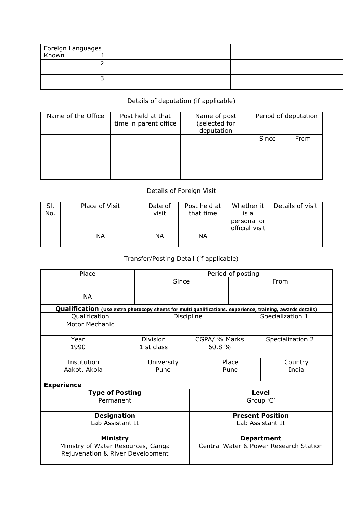| Foreign Languages<br>Known 1 |  |  |
|------------------------------|--|--|
|                              |  |  |
|                              |  |  |

## Details of deputation (if applicable)

| Name of the Office | Post held at that<br>time in parent office | Name of post<br>(selected for<br>deputation |       | Period of deputation |
|--------------------|--------------------------------------------|---------------------------------------------|-------|----------------------|
|                    |                                            |                                             | Since | From                 |
|                    |                                            |                                             |       |                      |

## Details of Foreign Visit

| SI.<br>No. | Place of Visit | Date of<br>visit | Post held at<br>that time | Whether it<br>is a            | Details of visit |
|------------|----------------|------------------|---------------------------|-------------------------------|------------------|
|            |                |                  |                           | personal or<br>official visit |                  |
|            | ΝA             | ΝA               | ΝA                        |                               |                  |

## Transfer/Posting Detail (if applicable)

| Place                                                                                                     |            | Period of posting |                                        |               |      |                  |  |  |
|-----------------------------------------------------------------------------------------------------------|------------|-------------------|----------------------------------------|---------------|------|------------------|--|--|
|                                                                                                           |            | Since             |                                        |               | From |                  |  |  |
| <b>NA</b>                                                                                                 |            |                   |                                        |               |      |                  |  |  |
| Qualification (Use extra photocopy sheets for multi qualifications, experience, training, awards details) |            |                   |                                        |               |      |                  |  |  |
| Qualification                                                                                             |            | Discipline        |                                        |               |      | Specialization 1 |  |  |
| <b>Motor Mechanic</b>                                                                                     |            |                   |                                        |               |      |                  |  |  |
| Year                                                                                                      |            | Division          |                                        | CGPA/ % Marks |      | Specialization 2 |  |  |
| 1990                                                                                                      | 1 st class |                   |                                        | 60.8%         |      |                  |  |  |
| Institution                                                                                               |            | University        | Place                                  |               |      | Country          |  |  |
| Aakot, Akola                                                                                              |            | Pune<br>Pune      |                                        |               |      | India            |  |  |
| <b>Experience</b>                                                                                         |            |                   |                                        |               |      |                  |  |  |
| <b>Type of Posting</b>                                                                                    |            |                   | Level                                  |               |      |                  |  |  |
| Permanent                                                                                                 |            |                   | Group 'C'                              |               |      |                  |  |  |
| <b>Designation</b>                                                                                        |            |                   | <b>Present Position</b>                |               |      |                  |  |  |
| Lab Assistant II                                                                                          |            |                   | Lab Assistant II                       |               |      |                  |  |  |
| Ministry                                                                                                  |            |                   | <b>Department</b>                      |               |      |                  |  |  |
| Ministry of Water Resources, Ganga<br>Rejuvenation & River Development                                    |            |                   | Central Water & Power Research Station |               |      |                  |  |  |